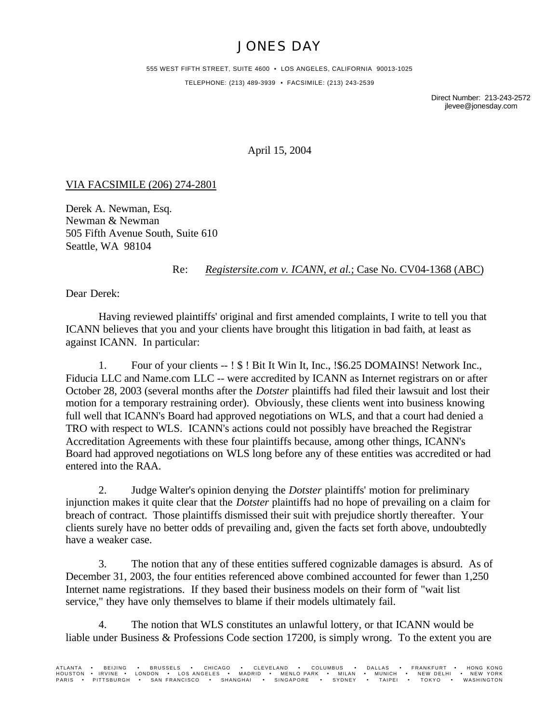## JONES DAY

555 WEST FIFTH STREET, SUITE 4600 • LOS ANGELES, CALIFORNIA 90013-1025 TELEPHONE: (213) 489-3939 • FACSIMILE: (213) 243-2539

> Direct Number: 213-243-2572 jlevee@jonesday.com

April 15, 2004

## VIA FACSIMILE (206) 274-2801

Derek A. Newman, Esq. Newman & Newman 505 Fifth Avenue South, Suite 610 Seattle, WA 98104

## Re: *Registersite.com v. ICANN, et al.*; Case No. CV04-1368 (ABC)

Dear Derek:

Having reviewed plaintiffs' original and first amended complaints, I write to tell you that ICANN believes that you and your clients have brought this litigation in bad faith, at least as against ICANN. In particular:

1. Four of your clients -- ! \$ ! Bit It Win It, Inc., !\$6.25 DOMAINS! Network Inc., Fiducia LLC and Name.com LLC -- were accredited by ICANN as Internet registrars on or after October 28, 2003 (several months after the *Dotster* plaintiffs had filed their lawsuit and lost their motion for a temporary restraining order). Obviously, these clients went into business knowing full well that ICANN's Board had approved negotiations on WLS, and that a court had denied a TRO with respect to WLS. ICANN's actions could not possibly have breached the Registrar Accreditation Agreements with these four plaintiffs because, among other things, ICANN's Board had approved negotiations on WLS long before any of these entities was accredited or had entered into the RAA.

2. Judge Walter's opinion denying the *Dotster* plaintiffs' motion for preliminary injunction makes it quite clear that the *Dotster* plaintiffs had no hope of prevailing on a claim for breach of contract. Those plaintiffs dismissed their suit with prejudice shortly thereafter. Your clients surely have no better odds of prevailing and, given the facts set forth above, undoubtedly have a weaker case.

3. The notion that any of these entities suffered cognizable damages is absurd. As of December 31, 2003, the four entities referenced above combined accounted for fewer than 1,250 Internet name registrations. If they based their business models on their form of "wait list service," they have only themselves to blame if their models ultimately fail.

4. The notion that WLS constitutes an unlawful lottery, or that ICANN would be liable under Business & Professions Code section 17200, is simply wrong. To the extent you are